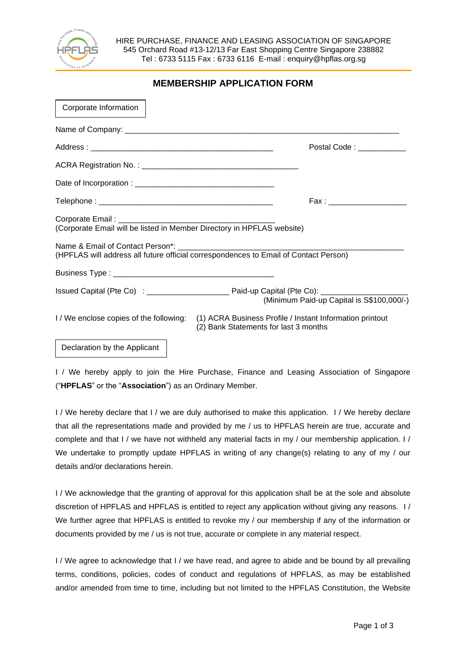

HIRE PURCHASE, FINANCE AND LEASING ASSOCIATION OF SINGAPORE 545 Orchard Road #13-12/13 Far East Shopping Centre Singapore 238882 Tel : 6733 5115 Fax : 6733 6116 E-mail : enquiry@hpflas.org.sg

| <b>MEMBERSHIP APPLICATION FORM</b> |
|------------------------------------|
|                                    |

| Corporate Information                                                  |                                                                                                                                         |
|------------------------------------------------------------------------|-----------------------------------------------------------------------------------------------------------------------------------------|
|                                                                        |                                                                                                                                         |
|                                                                        | Postal Code: National Code State Code 3                                                                                                 |
|                                                                        |                                                                                                                                         |
|                                                                        |                                                                                                                                         |
|                                                                        | Fax : ________________________                                                                                                          |
| (Corporate Email will be listed in Member Directory in HPFLAS website) |                                                                                                                                         |
|                                                                        | (HPFLAS will address all future official correspondences to Email of Contact Person)                                                    |
|                                                                        |                                                                                                                                         |
|                                                                        | (Minimum Paid-up Capital is S\$100,000/-)                                                                                               |
|                                                                        | I/We enclose copies of the following: (1) ACRA Business Profile / Instant Information printout<br>(2) Bank Statements for last 3 months |

## Declaration by the Applicant

I / We hereby apply to join the Hire Purchase, Finance and Leasing Association of Singapore ("**HPFLAS**" or the "**Association**") as an Ordinary Member.

I / We hereby declare that I / we are duly authorised to make this application. I / We hereby declare that all the representations made and provided by me / us to HPFLAS herein are true, accurate and complete and that I / we have not withheld any material facts in my / our membership application. I / We undertake to promptly update HPFLAS in writing of any change(s) relating to any of my / our details and/or declarations herein.

I / We acknowledge that the granting of approval for this application shall be at the sole and absolute discretion of HPFLAS and HPFLAS is entitled to reject any application without giving any reasons. I / We further agree that HPFLAS is entitled to revoke my / our membership if any of the information or documents provided by me / us is not true, accurate or complete in any material respect.

I / We agree to acknowledge that I / we have read, and agree to abide and be bound by all prevailing terms, conditions, policies, codes of conduct and regulations of HPFLAS, as may be established and/or amended from time to time, including but not limited to the HPFLAS Constitution, the Website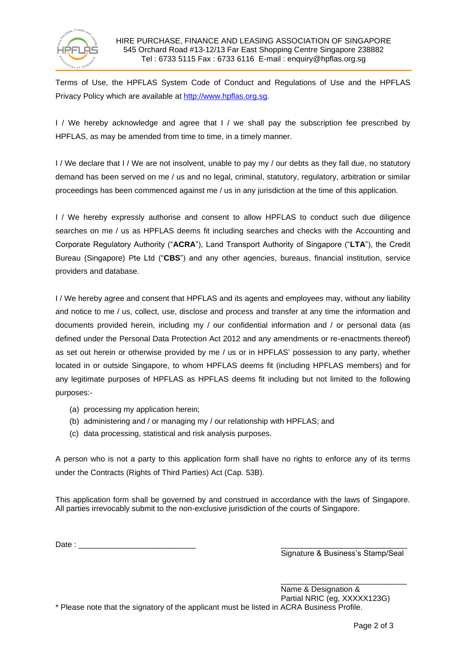

Terms of Use, the HPFLAS System Code of Conduct and Regulations of Use and the HPFLAS Privacy Policy which are available at [http://www.hpflas.org.sg.](http://www.hpflas.org.sg/)

I / We hereby acknowledge and agree that I / we shall pay the subscription fee prescribed by HPFLAS, as may be amended from time to time, in a timely manner.

I / We declare that I / We are not insolvent, unable to pay my / our debts as they fall due, no statutory demand has been served on me / us and no legal, criminal, statutory, regulatory, arbitration or similar proceedings has been commenced against me / us in any jurisdiction at the time of this application.

I / We hereby expressly authorise and consent to allow HPFLAS to conduct such due diligence searches on me / us as HPFLAS deems fit including searches and checks with the Accounting and Corporate Regulatory Authority ("**ACRA**"), Land Transport Authority of Singapore ("**LTA**"), the Credit Bureau (Singapore) Pte Ltd ("**CBS**") and any other agencies, bureaus, financial institution, service providers and database.

I / We hereby agree and consent that HPFLAS and its agents and employees may, without any liability and notice to me / us, collect, use, disclose and process and transfer at any time the information and documents provided herein, including my / our confidential information and / or personal data (as defined under the Personal Data Protection Act 2012 and any amendments or re-enactments thereof) as set out herein or otherwise provided by me / us or in HPFLAS' possession to any party, whether located in or outside Singapore, to whom HPFLAS deems fit (including HPFLAS members) and for any legitimate purposes of HPFLAS as HPFLAS deems fit including but not limited to the following purposes:-

- (a) processing my application herein;
- (b) administering and / or managing my / our relationship with HPFLAS; and
- (c) data processing, statistical and risk analysis purposes.

A person who is not a party to this application form shall have no rights to enforce any of its terms under the Contracts (Rights of Third Parties) Act (Cap. 53B).

This application form shall be governed by and construed in accordance with the laws of Singapore. All parties irrevocably submit to the non-exclusive jurisdiction of the courts of Singapore.

Date : \_\_\_\_\_\_\_\_\_\_\_\_\_\_\_\_\_\_\_\_\_\_\_\_\_\_\_ \_\_\_\_\_\_\_\_\_\_\_\_\_\_\_\_\_\_\_\_\_\_\_\_\_\_\_\_\_

Signature & Business's Stamp/Seal

\_\_\_\_\_\_\_\_\_\_\_\_\_\_\_\_\_\_\_\_\_\_\_\_\_\_\_\_\_

Name & Designation & Partial NRIC (eg, XXXXX123G) \* Please note that the signatory of the applicant must be listed in ACRA Business Profile.